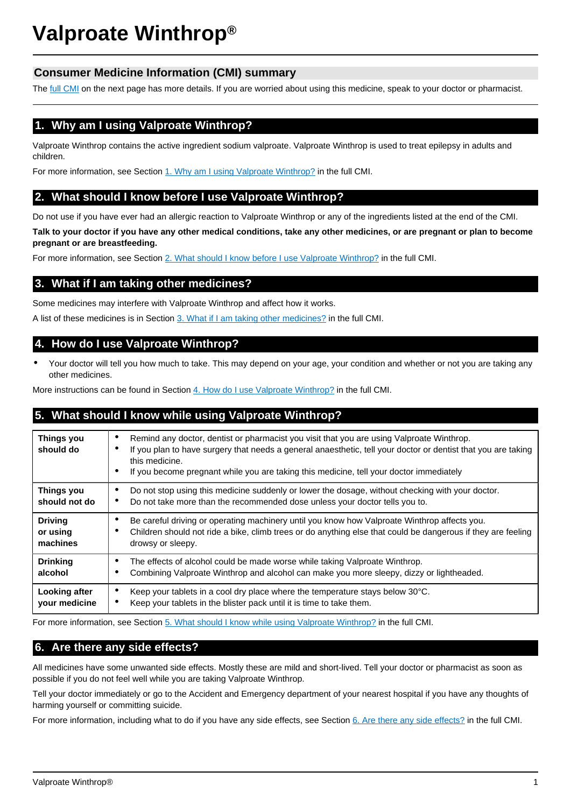# **Valproate Winthrop®**

# **Consumer Medicine Information (CMI) summary**

The [full CMI](#page-1-0) on the next page has more details. If you are worried about using this medicine, speak to your doctor or pharmacist.

# **1. Why am I using Valproate Winthrop?**

Valproate Winthrop contains the active ingredient sodium valproate. Valproate Winthrop is used to treat epilepsy in adults and children.

For more information, see Section [1. Why am I using Valproate Winthrop?](#page-1-1) in the full CMI.

# **2. What should I know before I use Valproate Winthrop?**

Do not use if you have ever had an allergic reaction to Valproate Winthrop or any of the ingredients listed at the end of the CMI.

**Talk to your doctor if you have any other medical conditions, take any other medicines, or are pregnant or plan to become pregnant or are breastfeeding.**

For more information, see Section [2. What should I know before I use Valproate Winthrop?](#page-1-2) in the full CMI.

# **3. What if I am taking other medicines?**

Some medicines may interfere with Valproate Winthrop and affect how it works.

A list of these medicines is in Section [3. What if I am taking other medicines?](#page-2-0) in the full CMI.

## **4. How do I use Valproate Winthrop?**

• Your doctor will tell you how much to take. This may depend on your age, your condition and whether or not you are taking any other medicines.

More instructions can be found in Section [4. How do I use Valproate Winthrop?](#page-2-1) in the full CMI.

# **5. What should I know while using Valproate Winthrop?**

| Things you<br>should do                | Remind any doctor, dentist or pharmacist you visit that you are using Valproate Winthrop.<br>٠<br>If you plan to have surgery that needs a general anaesthetic, tell your doctor or dentist that you are taking<br>٠<br>this medicine.<br>If you become pregnant while you are taking this medicine, tell your doctor immediately<br>٠ |
|----------------------------------------|----------------------------------------------------------------------------------------------------------------------------------------------------------------------------------------------------------------------------------------------------------------------------------------------------------------------------------------|
| Things you<br>should not do            | Do not stop using this medicine suddenly or lower the dosage, without checking with your doctor.<br>٠<br>Do not take more than the recommended dose unless your doctor tells you to.<br>٠                                                                                                                                              |
| <b>Driving</b><br>or using<br>machines | Be careful driving or operating machinery until you know how Valproate Winthrop affects you.<br>٠<br>Children should not ride a bike, climb trees or do anything else that could be dangerous if they are feeling<br>٠<br>drowsy or sleepy.                                                                                            |
| <b>Drinking</b><br>alcohol             | The effects of alcohol could be made worse while taking Valproate Winthrop.<br>٠<br>Combining Valproate Winthrop and alcohol can make you more sleepy, dizzy or lightheaded.                                                                                                                                                           |
| Looking after<br>your medicine         | Keep your tablets in a cool dry place where the temperature stays below 30°C.<br>٠<br>Keep your tablets in the blister pack until it is time to take them.<br>٠                                                                                                                                                                        |

For more information, see Section [5. What should I know while using Valproate Winthrop?](#page-3-0) in the full CMI.

# **6. Are there any side effects?**

All medicines have some unwanted side effects. Mostly these are mild and short-lived. Tell your doctor or pharmacist as soon as possible if you do not feel well while you are taking Valproate Winthrop.

Tell your doctor immediately or go to the Accident and Emergency department of your nearest hospital if you have any thoughts of harming yourself or committing suicide.

For more information, including what to do if you have any side effects, see Section [6. Are there any side effects?](#page-3-1) in the full CMI.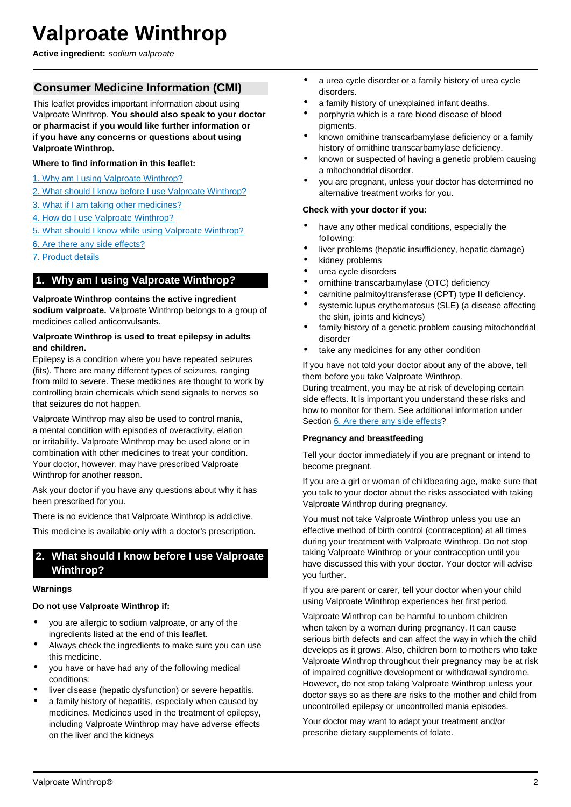# <span id="page-1-0"></span>**Valproate Winthrop**

**Active ingredient:** sodium valproate

# **Consumer Medicine Information (CMI)**

This leaflet provides important information about using Valproate Winthrop. **You should also speak to your doctor or pharmacist if you would like further information or if you have any concerns or questions about using Valproate Winthrop.**

## **Where to find information in this leaflet:**

- [1. Why am I using Valproate Winthrop?](#page-1-1)
- [2. What should I know before I use Valproate Winthrop?](#page-1-2)
- [3. What if I am taking other medicines?](#page-2-0)
- [4. How do I use Valproate Winthrop?](#page-2-1)
- [5. What should I know while using Valproate Winthrop?](#page-3-0)
- [6. Are there any side effects?](#page-3-1)
- [7. Product details](#page-4-0)

## <span id="page-1-1"></span>**1. Why am I using Valproate Winthrop?**

#### **Valproate Winthrop contains the active ingredient**

**sodium valproate.** Valproate Winthrop belongs to a group of medicines called anticonvulsants.

#### **Valproate Winthrop is used to treat epilepsy in adults and children.**

Epilepsy is a condition where you have repeated seizures (fits). There are many different types of seizures, ranging from mild to severe. These medicines are thought to work by controlling brain chemicals which send signals to nerves so that seizures do not happen.

Valproate Winthrop may also be used to control mania, a mental condition with episodes of overactivity, elation or irritability. Valproate Winthrop may be used alone or in combination with other medicines to treat your condition. Your doctor, however, may have prescribed Valproate Winthrop for another reason.

Ask your doctor if you have any questions about why it has been prescribed for you.

There is no evidence that Valproate Winthrop is addictive.

This medicine is available only with a doctor's prescription**.**

## <span id="page-1-2"></span>**2. What should I know before I use Valproate Winthrop?**

#### **Warnings**

#### **Do not use Valproate Winthrop if:**

- you are allergic to sodium valproate, or any of the ingredients listed at the end of this leaflet.
- Always check the ingredients to make sure you can use this medicine.
- you have or have had any of the following medical conditions:
- liver disease (hepatic dysfunction) or severe hepatitis.
- a family history of hepatitis, especially when caused by medicines. Medicines used in the treatment of epilepsy, including Valproate Winthrop may have adverse effects on the liver and the kidneys
- a urea cycle disorder or a family history of urea cycle disorders.
- a family history of unexplained infant deaths.
- porphyria which is a rare blood disease of blood pigments.
- known ornithine transcarbamylase deficiency or a family history of ornithine transcarbamylase deficiency.
- known or suspected of having a genetic problem causing a mitochondrial disorder.
- you are pregnant, unless your doctor has determined no alternative treatment works for you.

#### **Check with your doctor if you:**

- have any other medical conditions, especially the following:
- liver problems (hepatic insufficiency, hepatic damage)
- kidney problems
- urea cycle disorders
- ornithine transcarbamylase (OTC) deficiency
- carnitine palmitoyltransferase (CPT) type II deficiency.
- systemic lupus erythematosus (SLE) (a disease affecting the skin, joints and kidneys)
- family history of a genetic problem causing mitochondrial disorder
- take any medicines for any other condition

If you have not told your doctor about any of the above, tell them before you take Valproate Winthrop.

During treatment, you may be at risk of developing certain side effects. It is important you understand these risks and how to monitor for them. See additional information under Section [6. Are there any side effects](#page-3-1)?

#### **Pregnancy and breastfeeding**

Tell your doctor immediately if you are pregnant or intend to become pregnant.

If you are a girl or woman of childbearing age, make sure that you talk to your doctor about the risks associated with taking Valproate Winthrop during pregnancy.

You must not take Valproate Winthrop unless you use an effective method of birth control (contraception) at all times during your treatment with Valproate Winthrop. Do not stop taking Valproate Winthrop or your contraception until you have discussed this with your doctor. Your doctor will advise you further.

If you are parent or carer, tell your doctor when your child using Valproate Winthrop experiences her first period.

Valproate Winthrop can be harmful to unborn children when taken by a woman during pregnancy. It can cause serious birth defects and can affect the way in which the child develops as it grows. Also, children born to mothers who take Valproate Winthrop throughout their pregnancy may be at risk of impaired cognitive development or withdrawal syndrome. However, do not stop taking Valproate Winthrop unless your doctor says so as there are risks to the mother and child from uncontrolled epilepsy or uncontrolled mania episodes.

Your doctor may want to adapt your treatment and/or prescribe dietary supplements of folate.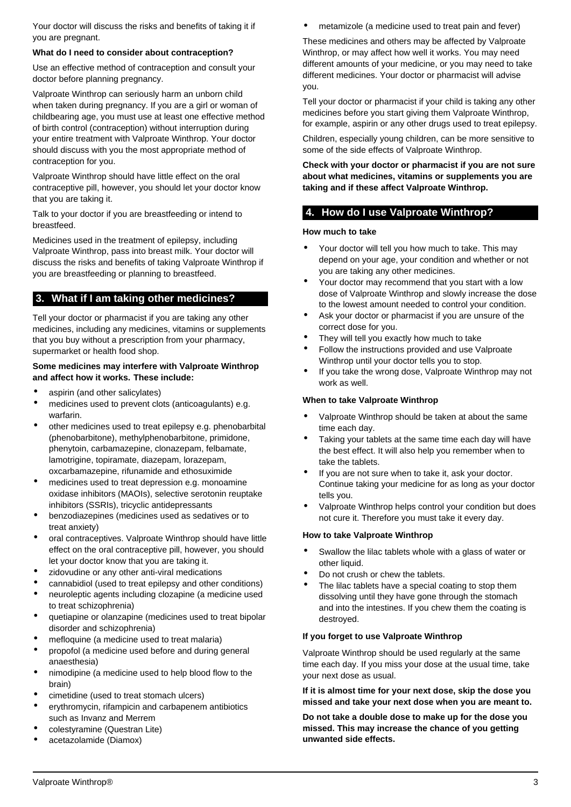Your doctor will discuss the risks and benefits of taking it if you are pregnant.

#### **What do I need to consider about contraception?**

Use an effective method of contraception and consult your doctor before planning pregnancy.

Valproate Winthrop can seriously harm an unborn child when taken during pregnancy. If you are a girl or woman of childbearing age, you must use at least one effective method of birth control (contraception) without interruption during your entire treatment with Valproate Winthrop. Your doctor should discuss with you the most appropriate method of contraception for you.

Valproate Winthrop should have little effect on the oral contraceptive pill, however, you should let your doctor know that you are taking it.

Talk to your doctor if you are breastfeeding or intend to breastfeed.

Medicines used in the treatment of epilepsy, including Valproate Winthrop, pass into breast milk. Your doctor will discuss the risks and benefits of taking Valproate Winthrop if you are breastfeeding or planning to breastfeed.

# <span id="page-2-0"></span>**3. What if I am taking other medicines?**

Tell your doctor or pharmacist if you are taking any other medicines, including any medicines, vitamins or supplements that you buy without a prescription from your pharmacy, supermarket or health food shop.

#### **Some medicines may interfere with Valproate Winthrop and affect how it works. These include:**

- aspirin (and other salicylates)
- medicines used to prevent clots (anticoagulants) e.g. warfarin.
- other medicines used to treat epilepsy e.g. phenobarbital (phenobarbitone), methylphenobarbitone, primidone, phenytoin, carbamazepine, clonazepam, felbamate, lamotrigine, topiramate, diazepam, lorazepam, oxcarbamazepine, rifunamide and ethosuximide
- medicines used to treat depression e.g. monoamine oxidase inhibitors (MAOIs), selective serotonin reuptake inhibitors (SSRIs), tricyclic antidepressants
- benzodiazepines (medicines used as sedatives or to treat anxiety)
- oral contraceptives. Valproate Winthrop should have little effect on the oral contraceptive pill, however, you should let your doctor know that you are taking it.
- zidovudine or any other anti-viral medications
- cannabidiol (used to treat epilepsy and other conditions)
- neuroleptic agents including clozapine (a medicine used to treat schizophrenia)
- quetiapine or olanzapine (medicines used to treat bipolar disorder and schizophrenia)
- mefloquine (a medicine used to treat malaria)
- propofol (a medicine used before and during general anaesthesia)
- nimodipine (a medicine used to help blood flow to the brain)
- cimetidine (used to treat stomach ulcers)
- erythromycin, rifampicin and carbapenem antibiotics such as Invanz and Merrem
- colestyramine (Questran Lite)
- acetazolamide (Diamox)

metamizole (a medicine used to treat pain and fever)

These medicines and others may be affected by Valproate Winthrop, or may affect how well it works. You may need different amounts of your medicine, or you may need to take different medicines. Your doctor or pharmacist will advise you.

Tell your doctor or pharmacist if your child is taking any other medicines before you start giving them Valproate Winthrop, for example, aspirin or any other drugs used to treat epilepsy.

Children, especially young children, can be more sensitive to some of the side effects of Valproate Winthrop.

#### **Check with your doctor or pharmacist if you are not sure about what medicines, vitamins or supplements you are taking and if these affect Valproate Winthrop.**

## <span id="page-2-1"></span>**4. How do I use Valproate Winthrop?**

#### **How much to take**

- Your doctor will tell you how much to take. This may depend on your age, your condition and whether or not you are taking any other medicines.
- Your doctor may recommend that you start with a low dose of Valproate Winthrop and slowly increase the dose to the lowest amount needed to control your condition.
- Ask your doctor or pharmacist if you are unsure of the correct dose for you.
- They will tell you exactly how much to take
- Follow the instructions provided and use Valproate Winthrop until your doctor tells you to stop.
- If you take the wrong dose, Valproate Winthrop may not work as well.

#### **When to take Valproate Winthrop**

- Valproate Winthrop should be taken at about the same time each day.
- Taking your tablets at the same time each day will have the best effect. It will also help you remember when to take the tablets.
- If you are not sure when to take it, ask your doctor. Continue taking your medicine for as long as your doctor tells you.
- Valproate Winthrop helps control your condition but does not cure it. Therefore you must take it every day.

#### **How to take Valproate Winthrop**

- Swallow the lilac tablets whole with a glass of water or other liquid.
- Do not crush or chew the tablets.
- The lilac tablets have a special coating to stop them dissolving until they have gone through the stomach and into the intestines. If you chew them the coating is destroyed.

#### **If you forget to use Valproate Winthrop**

Valproate Winthrop should be used regularly at the same time each day. If you miss your dose at the usual time, take your next dose as usual.

**If it is almost time for your next dose, skip the dose you missed and take your next dose when you are meant to.**

**Do not take a double dose to make up for the dose you missed. This may increase the chance of you getting unwanted side effects.**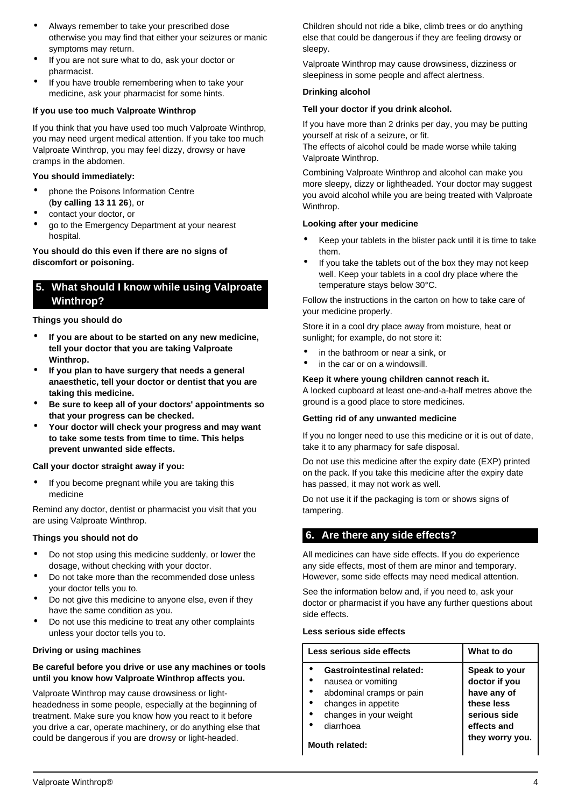- Always remember to take your prescribed dose otherwise you may find that either your seizures or manic symptoms may return.
- If you are not sure what to do, ask your doctor or pharmacist.
- If you have trouble remembering when to take your medicine, ask your pharmacist for some hints.

## **If you use too much Valproate Winthrop**

If you think that you have used too much Valproate Winthrop, you may need urgent medical attention. If you take too much Valproate Winthrop, you may feel dizzy, drowsy or have cramps in the abdomen.

#### **You should immediately:**

- phone the Poisons Information Centre (**by calling 13 11 26**), or
- contact your doctor, or
- go to the Emergency Department at your nearest hospital.

## **You should do this even if there are no signs of discomfort or poisoning.**

## <span id="page-3-0"></span>**5. What should I know while using Valproate Winthrop?**

## **Things you should do**

- **If you are about to be started on any new medicine, tell your doctor that you are taking Valproate Winthrop.**
- **If you plan to have surgery that needs a general anaesthetic, tell your doctor or dentist that you are taking this medicine.**
- **Be sure to keep all of your doctors' appointments so that your progress can be checked.**
- **Your doctor will check your progress and may want to take some tests from time to time. This helps prevent unwanted side effects.**

#### **Call your doctor straight away if you:**

If you become pregnant while you are taking this medicine

Remind any doctor, dentist or pharmacist you visit that you are using Valproate Winthrop.

#### **Things you should not do**

- Do not stop using this medicine suddenly, or lower the dosage, without checking with your doctor.
- Do not take more than the recommended dose unless your doctor tells you to.
- Do not give this medicine to anyone else, even if they have the same condition as you.
- Do not use this medicine to treat any other complaints unless your doctor tells you to.

## **Driving or using machines**

#### **Be careful before you drive or use any machines or tools until you know how Valproate Winthrop affects you.**

Valproate Winthrop may cause drowsiness or lightheadedness in some people, especially at the beginning of treatment. Make sure you know how you react to it before you drive a car, operate machinery, or do anything else that could be dangerous if you are drowsy or light-headed.

Children should not ride a bike, climb trees or do anything else that could be dangerous if they are feeling drowsy or sleepy.

Valproate Winthrop may cause drowsiness, dizziness or sleepiness in some people and affect alertness.

## **Drinking alcohol**

## **Tell your doctor if you drink alcohol.**

If you have more than 2 drinks per day, you may be putting yourself at risk of a seizure, or fit.

The effects of alcohol could be made worse while taking Valproate Winthrop.

Combining Valproate Winthrop and alcohol can make you more sleepy, dizzy or lightheaded. Your doctor may suggest you avoid alcohol while you are being treated with Valproate Winthrop.

## **Looking after your medicine**

- Keep your tablets in the blister pack until it is time to take them.
- If you take the tablets out of the box they may not keep well. Keep your tablets in a cool dry place where the temperature stays below 30°C.

Follow the instructions in the carton on how to take care of your medicine properly.

Store it in a cool dry place away from moisture, heat or sunlight; for example, do not store it:

- in the bathroom or near a sink, or
- in the car or on a windowsill.

#### **Keep it where young children cannot reach it.**

A locked cupboard at least one-and-a-half metres above the ground is a good place to store medicines.

#### **Getting rid of any unwanted medicine**

If you no longer need to use this medicine or it is out of date, take it to any pharmacy for safe disposal.

Do not use this medicine after the expiry date (EXP) printed on the pack. If you take this medicine after the expiry date has passed, it may not work as well.

Do not use it if the packaging is torn or shows signs of tampering.

## <span id="page-3-1"></span>**6. Are there any side effects?**

All medicines can have side effects. If you do experience any side effects, most of them are minor and temporary. However, some side effects may need medical attention.

See the information below and, if you need to, ask your doctor or pharmacist if you have any further questions about side effects.

#### **Less serious side effects**

| Less serious side effects        | What to do      |
|----------------------------------|-----------------|
| <b>Gastrointestinal related:</b> | Speak to your   |
| nausea or vomiting               | doctor if you   |
| abdominal cramps or pain         | have any of     |
| changes in appetite              | these less      |
| changes in your weight           | serious side    |
| diarrhoea                        | effects and     |
| <b>Mouth related:</b>            | they worry you. |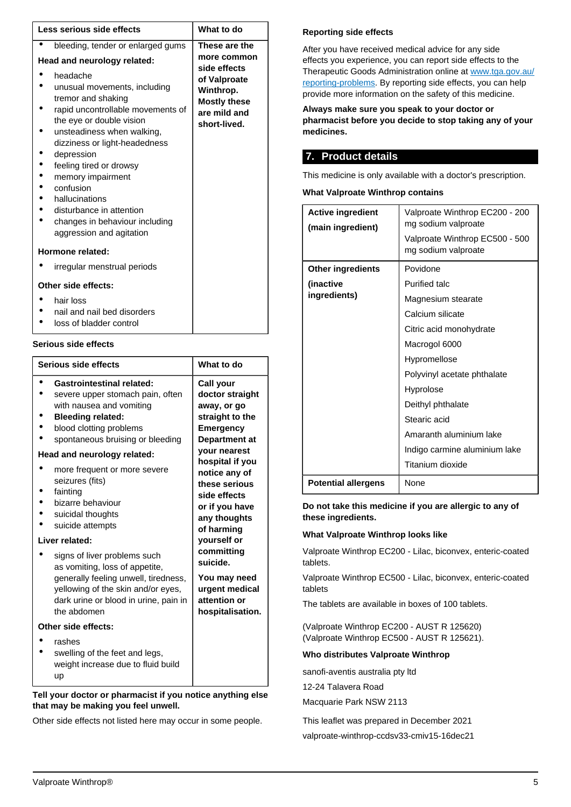| Less serious side effects                                                                                                                                                                                                                                                                                                                                                             | What to do                                                                                       |
|---------------------------------------------------------------------------------------------------------------------------------------------------------------------------------------------------------------------------------------------------------------------------------------------------------------------------------------------------------------------------------------|--------------------------------------------------------------------------------------------------|
| bleeding, tender or enlarged gums                                                                                                                                                                                                                                                                                                                                                     | These are the                                                                                    |
| Head and neurology related:                                                                                                                                                                                                                                                                                                                                                           | more common                                                                                      |
| headache<br>unusual movements, including<br>tremor and shaking<br>rapid uncontrollable movements of<br>the eye or double vision<br>unsteadiness when walking,<br>dizziness or light-headedness<br>depression<br>feeling tired or drowsy<br>memory impairment<br>confusion<br>hallucinations<br>disturbance in attention<br>changes in behaviour including<br>aggression and agitation | side effects<br>of Valproate<br>Winthrop.<br><b>Mostly these</b><br>are mild and<br>short-lived. |
| Hormone related:                                                                                                                                                                                                                                                                                                                                                                      |                                                                                                  |
| irregular menstrual periods                                                                                                                                                                                                                                                                                                                                                           |                                                                                                  |
| Other side effects:                                                                                                                                                                                                                                                                                                                                                                   |                                                                                                  |
| hair loss<br>nail and nail bed disorders                                                                                                                                                                                                                                                                                                                                              |                                                                                                  |

loss of bladder control

#### **Serious side effects**

| Serious side effects                                                                                                                                                                                                                                       | What to do                                                                                                                                    |
|------------------------------------------------------------------------------------------------------------------------------------------------------------------------------------------------------------------------------------------------------------|-----------------------------------------------------------------------------------------------------------------------------------------------|
| <b>Gastrointestinal related:</b><br>severe upper stomach pain, often<br>with nausea and vomiting<br><b>Bleeding related:</b><br>blood clotting problems<br>spontaneous bruising or bleeding<br>Head and neurology related:<br>more frequent or more severe | Call your<br>doctor straight<br>away, or go<br>straight to the<br><b>Emergency</b><br>Department at<br><b>your nearest</b><br>hospital if you |
| seizures (fits)<br>fainting<br>bizarre behaviour<br>suicidal thoughts<br>suicide attempts<br>Liver related:                                                                                                                                                | notice any of<br>these serious<br>side effects<br>or if you have<br>any thoughts<br>of harming<br>yourself or                                 |
| signs of liver problems such<br>as vomiting, loss of appetite,<br>generally feeling unwell, tiredness,<br>yellowing of the skin and/or eyes,<br>dark urine or blood in urine, pain in<br>the abdomen                                                       | committing<br>suicide.<br>You may need<br>urgent medical<br>attention or<br>hospitalisation.                                                  |
| Other side effects:                                                                                                                                                                                                                                        |                                                                                                                                               |
| rashes<br>swelling of the feet and legs,<br>weight increase due to fluid build<br>up                                                                                                                                                                       |                                                                                                                                               |

#### **Tell your doctor or pharmacist if you notice anything else that may be making you feel unwell.**

Other side effects not listed here may occur in some people.

#### **Reporting side effects**

After you have received medical advice for any side effects you experience, you can report side effects to the Therapeutic Goods Administration online at [www.tga.gov.au/](http://www.tga.gov.au/reporting-problems) [reporting-problems](http://www.tga.gov.au/reporting-problems). By reporting side effects, you can help provide more information on the safety of this medicine.

**Always make sure you speak to your doctor or pharmacist before you decide to stop taking any of your medicines.**

## <span id="page-4-0"></span>**7. Product details**

This medicine is only available with a doctor's prescription.

#### **What Valproate Winthrop contains**

| <b>Active ingredient</b><br>(main ingredient) | Valproate Winthrop EC200 - 200<br>mg sodium valproate<br>Valproate Winthrop EC500 - 500<br>mg sodium valproate |
|-----------------------------------------------|----------------------------------------------------------------------------------------------------------------|
| Other ingredients                             | Povidone                                                                                                       |
| (inactive                                     | <b>Purified talc</b>                                                                                           |
| ingredients)                                  | Magnesium stearate                                                                                             |
|                                               | Calcium silicate                                                                                               |
|                                               | Citric acid monohydrate                                                                                        |
|                                               | Macrogol 6000                                                                                                  |
|                                               | Hypromellose                                                                                                   |
|                                               | Polyvinyl acetate phthalate                                                                                    |
|                                               | Hyprolose                                                                                                      |
|                                               | Deithyl phthalate                                                                                              |
|                                               | Stearic acid                                                                                                   |
|                                               | Amaranth aluminium lake                                                                                        |
|                                               | Indigo carmine aluminium lake                                                                                  |
|                                               | Titanium dioxide                                                                                               |
| <b>Potential allergens</b>                    | None                                                                                                           |

**Do not take this medicine if you are allergic to any of these ingredients.**

#### **What Valproate Winthrop looks like**

Valproate Winthrop EC200 - Lilac, biconvex, enteric-coated tablets.

Valproate Winthrop EC500 - Lilac, biconvex, enteric-coated tablets

The tablets are available in boxes of 100 tablets.

(Valproate Winthrop EC200 - AUST R 125620) (Valproate Winthrop EC500 - AUST R 125621).

## **Who distributes Valproate Winthrop**

sanofi-aventis australia pty ltd

12-24 Talavera Road

Macquarie Park NSW 2113

This leaflet was prepared in December 2021 valproate-winthrop-ccdsv33-cmiv15-16dec21